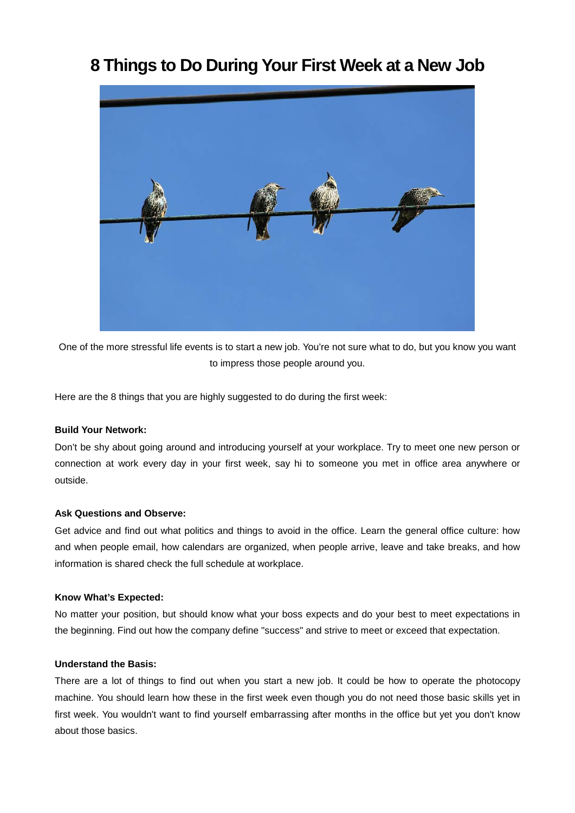# **8 Things to Do During Your First Week at a New Job**



One of the more stressful life events is to start a new job. You're not sure what to do, but you know you want to impress those people around you.

Here are the 8 things that you are highly suggested to do during the first week:

# **Build Your Network:**

Don't be shy about going around and introducing yourself at your workplace. Try to meet one new person or connection at work every day in your first week, say hi to someone you met in office area anywhere or outside.

# **Ask Questions and Observe:**

Get advice and find out what politics and things to avoid in the office. Learn the general office culture: how and when people email, how calendars are organized, when people arrive, leave and take breaks, and how information is shared check the full schedule at workplace.

# **Know What's Expected:**

No matter your position, but should know what your boss expects and do your best to meet expectations in the beginning. Find out how the company define "success" and strive to meet or exceed that expectation.

# **Understand the Basis:**

There are a lot of things to find out when you start a new job. It could be how to operate the photocopy machine. You should learn how these in the first week even though you do not need those basic skills yet in first week. You wouldn't want to find yourself embarrassing after months in the office but yet you don't know about those basics.